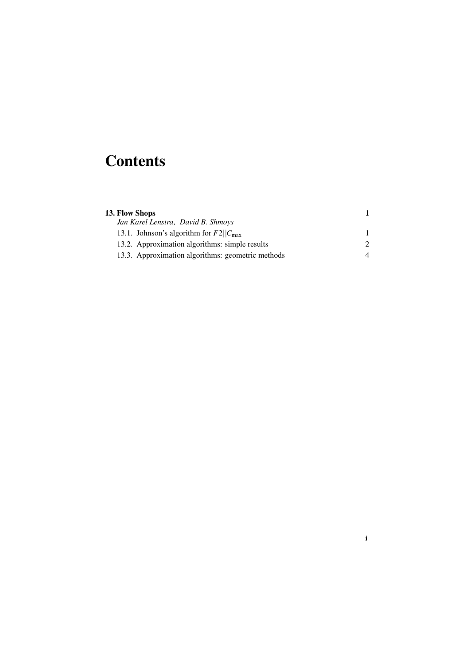## **Contents**

| 13. Flow Shops                                                                           |   |
|------------------------------------------------------------------------------------------|---|
| Jan Karel Lenstra, David B. Shmoys<br>13.1. Johnson's algorithm for $F2  C_{\text{max}}$ |   |
|                                                                                          |   |
| 13.3. Approximation algorithms: geometric methods                                        | 4 |

i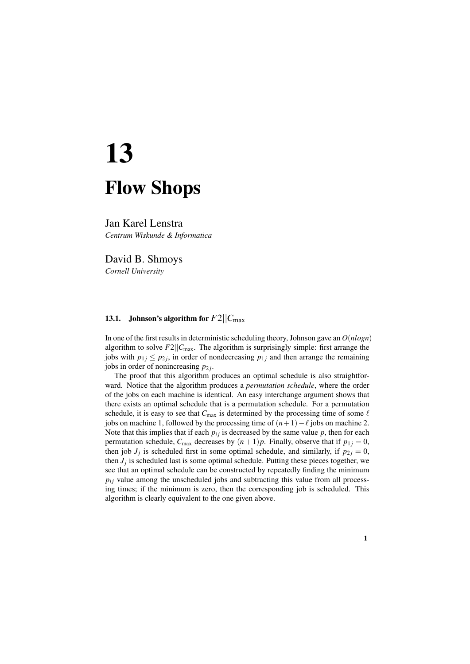# 13 Flow Shops

Jan Karel Lenstra *Centrum Wiskunde & Informatica*

David B. Shmoys *Cornell University*

### 13.1. Johnson's algorithm for  $F2||C_{\text{max}}$

In one of the first results in deterministic scheduling theory, Johnson gave an *O*(*nlogn*) algorithm to solve  $F2||C_{\text{max}}$ . The algorithm is surprisingly simple: first arrange the jobs with  $p_{1j} \leq p_{2j}$ , in order of nondecreasing  $p_{1j}$  and then arrange the remaining jobs in order of nonincreasing  $p_{2j}$ .

The proof that this algorithm produces an optimal schedule is also straightforward. Notice that the algorithm produces a *permutation schedule*, where the order of the jobs on each machine is identical. An easy interchange argument shows that there exists an optimal schedule that is a permutation schedule. For a permutation schedule, it is easy to see that  $C_{\text{max}}$  is determined by the processing time of some  $\ell$ jobs on machine 1, followed by the processing time of  $(n+1)-\ell$  jobs on machine 2. Note that this implies that if each  $p_{ij}$  is decreased by the same value  $p$ , then for each permutation schedule,  $C_{\text{max}}$  decreases by  $(n+1)p$ . Finally, observe that if  $p_{1j} = 0$ , then job  $J_j$  is scheduled first in some optimal schedule, and similarly, if  $p_{2j} = 0$ , then  $J_j$  is scheduled last is some optimal schedule. Putting these pieces together, we see that an optimal schedule can be constructed by repeatedly finding the minimum  $p_{ij}$  value among the unscheduled jobs and subtracting this value from all processing times; if the minimum is zero, then the corresponding job is scheduled. This algorithm is clearly equivalent to the one given above.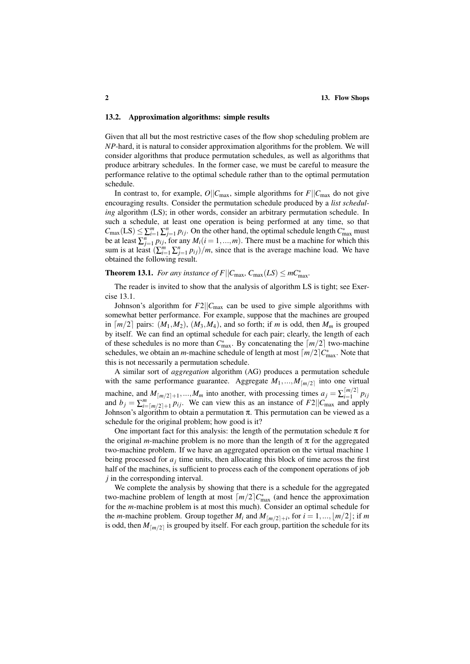#### 13.2. Approximation algorithms: simple results

Given that all but the most restrictive cases of the flow shop scheduling problem are *NP*-hard, it is natural to consider approximation algorithms for the problem. We will consider algorithms that produce permutation schedules, as well as algorithms that produce arbitrary schedules. In the former case, we must be careful to measure the performance relative to the optimal schedule rather than to the optimal permutation schedule.

In contrast to, for example,  $O||C_{\text{max}}$ , simple algorithms for  $F||C_{\text{max}}$  do not give encouraging results. Consider the permutation schedule produced by a *list scheduling* algorithm (LS); in other words, consider an arbitrary permutation schedule. In such a schedule, at least one operation is being performed at any time, so that  $C_{\text{max}}(LS) \leq \sum_{i=1}^{m} \sum_{j=1}^{n} p_{ij}$ . On the other hand, the optimal schedule length  $C_{\text{max}}^*$  must be at least  $\sum_{j=1}^{n} p_{ij}$ , for any  $M_i$  ( $i = 1, ..., m$ ). There must be a machine for which this sum is at least  $(\sum_{i=1}^{m} \sum_{j=1}^{n} p_{ij})/m$ , since that is the average machine load. We have obtained the following result.

**Theorem 13.1.** *For any instance of F* $||C_{\text{max}}$ *,*  $C_{\text{max}}(LS) \leq mC_{\text{max}}^*$ .

The reader is invited to show that the analysis of algorithm LS is tight; see Exercise 13.1.

Johnson's algorithm for  $F2||C_{\text{max}}$  can be used to give simple algorithms with somewhat better performance. For example, suppose that the machines are grouped in  $\lceil m/2 \rceil$  pairs:  $(M_1, M_2)$ ,  $(M_3, M_4)$ , and so forth; if *m* is odd, then  $M_m$  is grouped by itself. We can find an optimal schedule for each pair; clearly, the length of each of these schedules is no more than  $C_{\text{max}}^*$ . By concatenating the  $\lceil m/2 \rceil$  two-machine schedules, we obtain an *m*-machine schedule of length at most  $\lceil m/2 \rceil C_{\text{max}}^*$ . Note that this is not necessarily a permutation schedule.

A similar sort of *aggregation* algorithm (AG) produces a permutation schedule with the same performance guarantee. Aggregate  $M_1, ..., M_{\lceil m/2 \rceil}$  into one virtual machine, and  $M_{\lfloor m/2 \rfloor + 1},...,M_m$  into another, with processing times  $a_j = \sum_{i=1}^{\lfloor m/2 \rfloor}$  $\prod_{i=1}^{|m/2|} p_{ij}$ and  $b_j = \sum_{i=1}^m p_i/2_{j+1} p_i$ . We can view this as an instance of  $F2||C_{\text{max}}$  and apply Johnson's algorithm to obtain a permutation  $\pi$ . This permutation can be viewed as a schedule for the original problem; how good is it?

One important fact for this analysis: the length of the permutation schedule  $\pi$  for the original *m*-machine problem is no more than the length of  $\pi$  for the aggregated two-machine problem. If we have an aggregated operation on the virtual machine 1 being processed for  $a_j$  time units, then allocating this block of time across the first half of the machines, is sufficient to process each of the component operations of job *j* in the corresponding interval.

We complete the analysis by showing that there is a schedule for the aggregated two-machine problem of length at most  $\lceil m/2 \rceil C_{\text{max}}^*$  (and hence the approximation for the *m*-machine problem is at most this much). Consider an optimal schedule for the *m*-machine problem. Group together  $M_i$  and  $M_{\lfloor m/2 \rfloor+i}$ , for  $i = 1, ..., \lfloor m/2 \rfloor$ ; if *m* is odd, then  $M_{\lfloor m/2 \rfloor}$  is grouped by itself. For each group, partition the schedule for its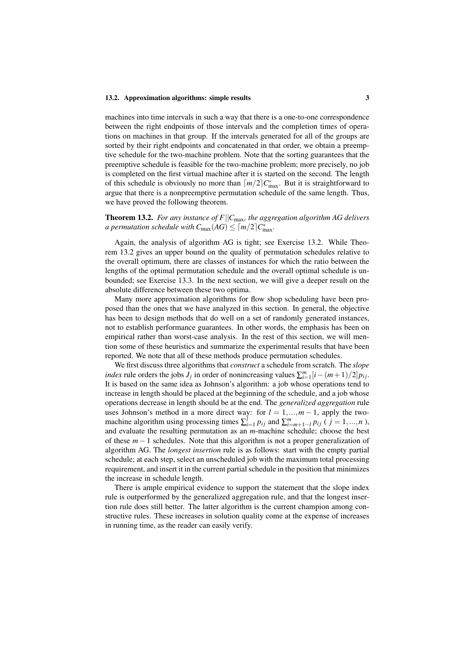#### 13.2. Approximation algorithms: simple results 3

machines into time intervals in such a way that there is a one-to-one correspondence between the right endpoints of those intervals and the completion times of operations on machines in that group. If the intervals generated for all of the groups are sorted by their right endpoints and concatenated in that order, we obtain a preemptive schedule for the two-machine problem. Note that the sorting guarantees that the preemptive schedule is feasible for the two-machine problem; more precisely, no job is completed on the first virtual machine after it is started on the second. The length of this schedule is obviously no more than  $\lceil m/2 \rceil C_{\text{max}}^*$ . But it is straightforward to argue that there is a nonpreemptive permutation schedule of the same length. Thus, we have proved the following theorem.

Theorem 13.2. *For any instance of F*||*C*max*, the aggregation algorithm AG delivers a permutation schedule with*  $C_{\text{max}}(AG) \leq \lceil m/2 \rceil C_{\text{max}}^*$ .

Again, the analysis of algorithm AG is tight; see Exercise 13.2. While Theorem 13.2 gives an upper bound on the quality of permutation schedules relative to the overall optimum, there are classes of instances for which the ratio between the lengths of the optimal permutation schedule and the overall optimal schedule is unbounded; see Exercise 13.3. In the next section, we will give a deeper result on the absolute difference between these two optima.

Many more approximation algorithms for flow shop scheduling have been proposed than the ones that we have analyzed in this section. In general, the objective has been to design methods that do well on a set of randomly generated instances, not to establish performance guarantees. In other words, the emphasis has been on empirical rather than worst-case analysis. In the rest of this section, we will mention some of these heuristics and summarize the experimental results that have been reported. We note that all of these methods produce permutation schedules.

We first discuss three algorithms that *construct* a schedule from scratch. The *slope index* rule orders the jobs *J<sub>j</sub>* in order of nonincreasing values  $\sum_{i=1}^{m} [i - (m+1)/2] p_{ij}$ . It is based on the same idea as Johnson's algorithm: a job whose operations tend to increase in length should be placed at the beginning of the schedule, and a job whose operations decrease in length should be at the end. The *generalized aggregation* rule uses Johnson's method in a more direct way: for  $l = 1, ..., m - 1$ , apply the twomachine algorithm using processing times  $\sum_{i=1}^{l} p_{ij}$  and  $\sum_{i=m+1-l}^{m} p_{ij}$  (  $j = 1, ..., n$  ), and evaluate the resulting permutation as an *m*-machine schedule; choose the best of these *m* − 1 schedules. Note that this algorithm is not a proper generalization of algorithm AG. The *longest insertion* rule is as follows: start with the empty partial schedule; at each step, select an unscheduled job with the maximum total processing requirement, and insert it in the current partial schedule in the position that minimizes the increase in schedule length.

There is ample empirical evidence to support the statement that the slope index rule is outperformed by the generalized aggregation rule, and that the longest insertion rule does still better. The latter algorithm is the current champion among constructive rules. These increases in solution quality come at the expense of increases in running time, as the reader can easily verify.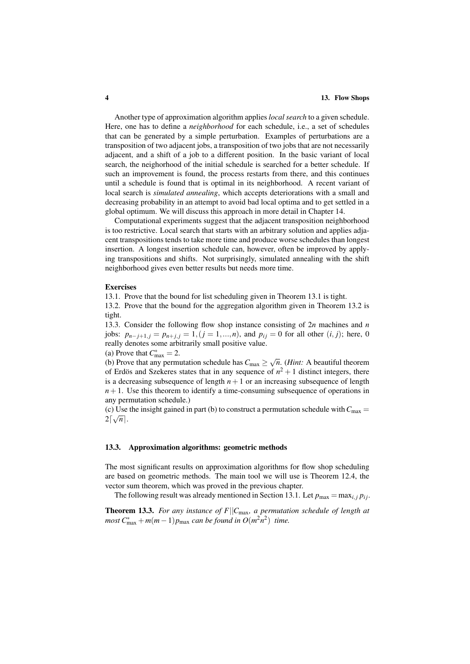#### 4 13. Flow Shops

Another type of approximation algorithm applies *local search* to a given schedule. Here, one has to define a *neighborhood* for each schedule, i.e., a set of schedules that can be generated by a simple perturbation. Examples of perturbations are a transposition of two adjacent jobs, a transposition of two jobs that are not necessarily adjacent, and a shift of a job to a different position. In the basic variant of local search, the neighorhood of the initial schedule is searched for a better schedule. If such an improvement is found, the process restarts from there, and this continues until a schedule is found that is optimal in its neighborhood. A recent variant of local search is *simulated annealing*, which accepts deteriorations with a small and decreasing probability in an attempt to avoid bad local optima and to get settled in a global optimum. We will discuss this approach in more detail in Chapter 14.

Computational experiments suggest that the adjacent transposition neighborhood is too restrictive. Local search that starts with an arbitrary solution and applies adjacent transpositions tends to take more time and produce worse schedules than longest insertion. A longest insertion schedule can, however, often be improved by applying transpositions and shifts. Not surprisingly, simulated annealing with the shift neighborhood gives even better results but needs more time.

#### Exercises

13.1. Prove that the bound for list scheduling given in Theorem 13.1 is tight.

13.2. Prove that the bound for the aggregation algorithm given in Theorem 13.2 is tight.

13.3. Consider the following flow shop instance consisting of 2*n* machines and *n* jobs:  $p_{n-j+1,j} = p_{n+j,j} = 1, (j = 1,...,n)$ , and  $p_{ij} = 0$  for all other  $(i, j)$ ; here, 0 really denotes some arbitrarily small positive value.

(a) Prove that  $C_{\text{max}}^* = 2$ .

(a) Frove that  $c_{\text{max}} = 2$ .<br>(b) Prove that any permutation schedule has  $C_{\text{max}} \ge \sqrt{n}$ . (*Hint*: A beautiful theorem of Erdös and Szekeres states that in any sequence of  $n^2 + 1$  distinct integers, there is a decreasing subsequence of length  $n+1$  or an increasing subsequence of length  $n+1$ . Use this theorem to identify a time-consuming subsequence of operations in any permutation schedule.)

(c) Use the insight gained in part (b) to construct a permutation schedule with  $C_{\text{max}} =$  $2\lceil \sqrt{n} \rceil$ .

#### 13.3. Approximation algorithms: geometric methods

The most significant results on approximation algorithms for flow shop scheduling are based on geometric methods. The main tool we will use is Theorem 12.4, the vector sum theorem, which was proved in the previous chapter.

The following result was already mentioned in Section 13.1. Let  $p_{\text{max}} = \max_{i,j} p_{ij}$ .

Theorem 13.3. *For any instance of F*||*C*max*, a permutation schedule of length at*  $m$ ost  $C_{\text{max}}^* + m(m-1)p_{\text{max}}$  *can be found in*  $O(m^2n^2)$  *time.*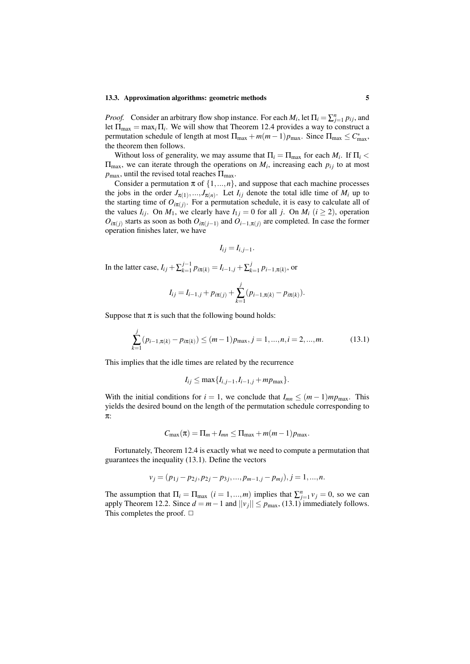#### 13.3. Approximation algorithms: geometric methods 5

*Proof.* Consider an arbitrary flow shop instance. For each  $M_i$ , let  $\Pi_i = \sum_{j=1}^n p_{ij}$ , and let  $\Pi_{\text{max}} = \max_i \Pi_i$ . We will show that Theorem 12.4 provides a way to construct a permutation schedule of length at most  $\Pi_{\text{max}} + m(m-1)p_{\text{max}}$ . Since  $\Pi_{\text{max}} \leq C_{\text{max}}^*$ , the theorem then follows.

Without loss of generality, we may assume that  $\Pi_i = \Pi_{\text{max}}$  for each  $M_i$ . If  $\Pi_i$  $\Pi_{\text{max}}$ , we can iterate through the operations on  $M_i$ , increasing each  $p_{ij}$  to at most  $p_{\text{max}}$ , until the revised total reaches  $\Pi_{\text{max}}$ .

Consider a permutation  $\pi$  of  $\{1, ..., n\}$ , and suppose that each machine processes the jobs in the order  $J_{\pi(1)},..., J_{\pi(n)}$ . Let  $I_{ij}$  denote the total idle time of  $M_i$  up to the starting time of  $O_{i\pi(j)}$ . For a permutation schedule, it is easy to calculate all of the values  $I_{ij}$ . On  $M_1$ , we clearly have  $I_{1j} = 0$  for all *j*. On  $M_i$  ( $i \ge 2$ ), operation  $O_{i\pi(j)}$  starts as soon as both  $O_{i\pi(j-1)}$  and  $O_{i-1,\pi(j)}$  are completed. In case the former operation finishes later, we have

$$
I_{ij}=I_{i,j-1}.
$$

In the latter case,  $I_{ij} + \sum_{k=1}^{j-1}$  $\sum_{k=1}^{j-1} p_{i\pi(k)} = I_{i-1,j} + \sum_{k=1}^{j}$  $p_{k=1}^{J} p_{i-1,\pi(k)}$ , or

$$
I_{ij} = I_{i-1,j} + p_{i\pi(j)} + \sum_{k=1}^{j} (p_{i-1,\pi(k)} - p_{i\pi(k)}).
$$

Suppose that  $\pi$  is such that the following bound holds:

$$
\sum_{k=1}^{j} (p_{i-1,\pi(k)} - p_{i\pi(k)}) \le (m-1)p_{\max}, j = 1, ..., n, i = 2, ..., m.
$$
 (13.1)

This implies that the idle times are related by the recurrence

$$
I_{ij} \le \max\{I_{i,j-1}, I_{i-1,j} + mp_{\max}\}.
$$

With the initial conditions for  $i = 1$ , we conclude that  $I_{mn} \leq (m-1)mp_{\text{max}}$ . This yields the desired bound on the length of the permutation schedule corresponding to π:

$$
C_{\max}(\pi) = \Pi_m + I_{mn} \leq \Pi_{\max} + m(m-1)p_{\max}.
$$

Fortunately, Theorem 12.4 is exactly what we need to compute a permutation that guarantees the inequality (13.1). Define the vectors

$$
v_j = (p_{1j} - p_{2j}, p_{2j} - p_{3j}, \dots, p_{m-1,j} - p_{mj}), j = 1, \dots, n.
$$

The assumption that  $\Pi_i = \Pi_{\text{max}}$   $(i = 1, ..., m)$  implies that  $\sum_{j=1}^{n} v_j = 0$ , so we can apply Theorem 12.2. Since  $d = m - 1$  and  $||v_j|| \le p_{\text{max}}$ , (13.1) immediately follows. This completes the proof.  $\Box$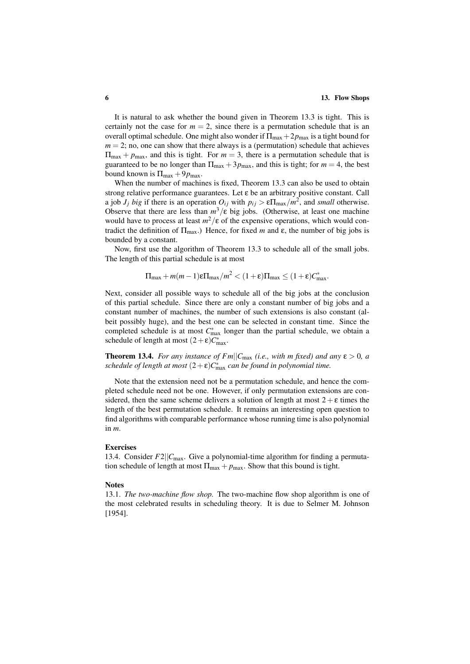It is natural to ask whether the bound given in Theorem 13.3 is tight. This is certainly not the case for  $m = 2$ , since there is a permutation schedule that is an overall optimal schedule. One might also wonder if  $\Pi_{\text{max}} + 2p_{\text{max}}$  is a tight bound for  $m = 2$ ; no, one can show that there always is a (permutation) schedule that achieves  $\Pi_{\text{max}} + p_{\text{max}}$ , and this is tight. For  $m = 3$ , there is a permutation schedule that is guaranteed to be no longer than  $\Pi_{\text{max}} + 3p_{\text{max}}$ , and this is tight; for  $m = 4$ , the best bound known is  $\Pi_{\text{max}} + 9p_{\text{max}}$ .

When the number of machines is fixed, Theorem 13.3 can also be used to obtain strong relative performance guarantees. Let ε be an arbitrary positive constant. Call a job  $J_j$  *big* if there is an operation  $O_{ij}$  with  $p_{ij} > \varepsilon \Pi_{\text{max}}/m^2$ , and *small* otherwise. Observe that there are less than  $m^3/\varepsilon$  big jobs. (Otherwise, at least one machine would have to process at least  $m^2/\varepsilon$  of the expensive operations, which would contradict the definition of  $\Pi_{\text{max}}$ .) Hence, for fixed *m* and ε, the number of big jobs is bounded by a constant.

Now, first use the algorithm of Theorem 13.3 to schedule all of the small jobs. The length of this partial schedule is at most

$$
\Pi_{\max} + m(m-1)\epsilon\Pi_{\max}/m^2 < (1+\epsilon)\Pi_{\max} \leq (1+\epsilon)C_{\max}^*.
$$

Next, consider all possible ways to schedule all of the big jobs at the conclusion of this partial schedule. Since there are only a constant number of big jobs and a constant number of machines, the number of such extensions is also constant (albeit possibly huge), and the best one can be selected in constant time. Since the completed schedule is at most  $C_{\text{max}}^*$  longer than the partial schedule, we obtain a schedule of length at most  $(2 + \varepsilon)C_{\text{max}}^*$ .

**Theorem 13.4.** *For any instance of Fm* $||C_{\text{max}}(i.e., with m fixed)$  *and any*  $\varepsilon > 0$ *, a schedule of length at most*  $(2+\varepsilon)C_{\text{max}}^*$  *can be found in polynomial time.* 

Note that the extension need not be a permutation schedule, and hence the completed schedule need not be one. However, if only permutation extensions are considered, then the same scheme delivers a solution of length at most  $2 + \epsilon$  times the length of the best permutation schedule. It remains an interesting open question to find algorithms with comparable performance whose running time is also polynomial in *m*.

#### Exercises

13.4. Consider  $F2||C_{\text{max}}$ . Give a polynomial-time algorithm for finding a permutation schedule of length at most  $\Pi_{\text{max}} + p_{\text{max}}$ . Show that this bound is tight.

#### Notes

13.1. *The two-machine flow shop.* The two-machine flow shop algorithm is one of the most celebrated results in scheduling theory. It is due to Selmer M. Johnson [1954].